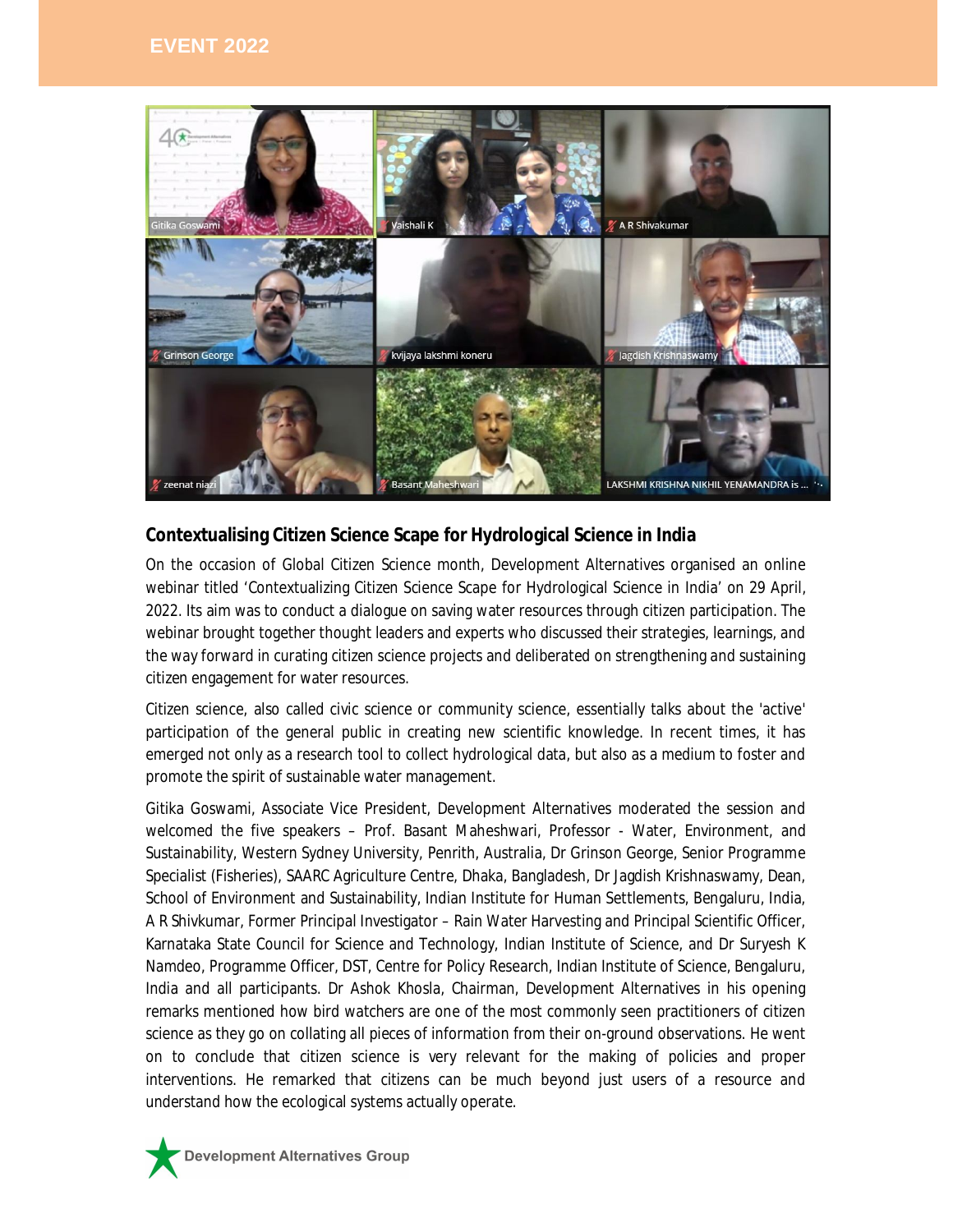

## **Contextualising Citizen Science Scape for Hydrological Science in India**

On the occasion of Global Citizen Science month, Development Alternatives organised an online webinar titled 'Contextualizing Citizen Science Scape for Hydrological Science in India' on 29 April, 2022. Its aim was to conduct a dialogue on saving water resources through citizen participation. The webinar brought together thought leaders and experts who discussed their strategies, learnings, and the way forward in curating citizen science projects and deliberated on strengthening and sustaining citizen engagement for water resources.

Citizen science, also called civic science or community science, essentially talks about the 'active' participation of the general public in creating new scientific knowledge. In recent times, it has emerged not only as a research tool to collect hydrological data, but also as a medium to foster and promote the spirit of sustainable water management.

Gitika Goswami, Associate Vice President, Development Alternatives moderated the session and welcomed the five speakers – Prof. Basant Maheshwari, Professor - Water, Environment, and Sustainability, Western Sydney University, Penrith, Australia, Dr Grinson George, Senior Programme Specialist (Fisheries), SAARC Agriculture Centre, Dhaka, Bangladesh, Dr Jagdish Krishnaswamy, Dean, School of Environment and Sustainability, Indian Institute for Human Settlements, Bengaluru, India, A R Shivkumar, Former Principal Investigator – Rain Water Harvesting and Principal Scientific Officer, Karnataka State Council for Science and Technology, Indian Institute of Science, and Dr Suryesh K Namdeo, Programme Officer, DST, Centre for Policy Research, Indian Institute of Science, Bengaluru, India and all participants. Dr Ashok Khosla, Chairman, Development Alternatives in his opening remarks mentioned how bird watchers are one of the most commonly seen practitioners of citizen science as they go on collating all pieces of information from their on-ground observations. He went on to conclude that citizen science is very relevant for the making of policies and proper interventions. He remarked that citizens can be much beyond just users of a resource and understand how the ecological systems actually operate.